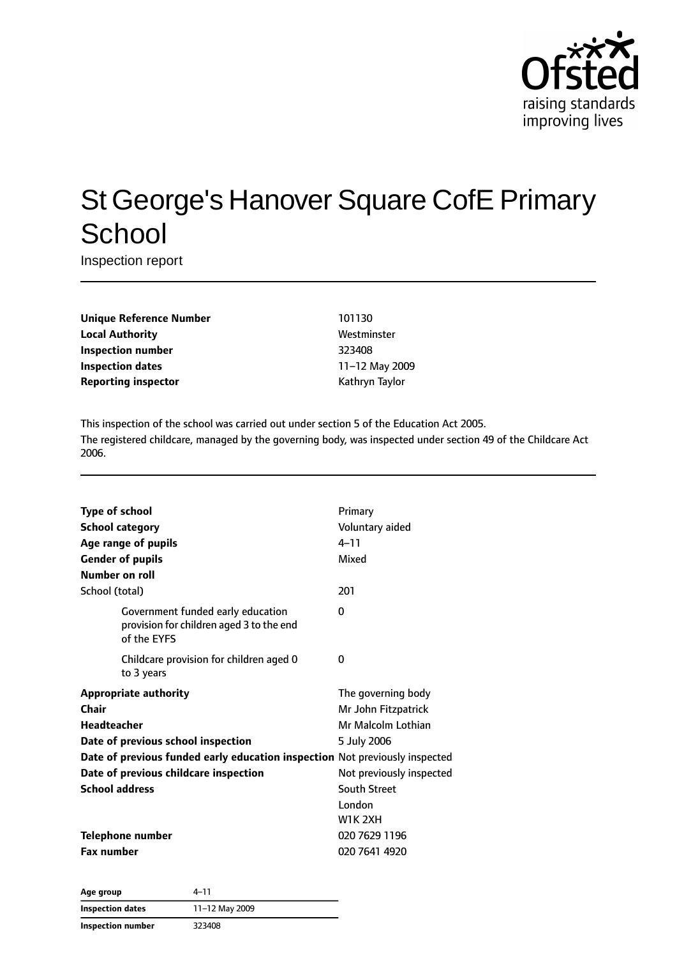

# St George's Hanover Square CofE Primary **School**

Inspection report

| <b>Unique Reference Number</b> |
|--------------------------------|
| <b>Local Authority</b>         |
| <b>Inspection number</b>       |
| <b>Inspection dates</b>        |
| <b>Reporting inspector</b>     |

#### **Unique Reference Number** 101130 **Local Authority** Westminster **Inspection number** 323408 **Inspection dates** 11–12 May 2009 **Reporting inspector** Kathryn Taylor

This inspection of the school was carried out under section 5 of the Education Act 2005. The registered childcare, managed by the governing body, was inspected under section 49 of the Childcare Act 2006.

| <b>Type of school</b><br><b>School category</b><br>Age range of pupils<br><b>Gender of pupils</b><br><b>Number on roll</b> | Primary<br>Voluntary aided<br>$4 - 11$<br>Mixed |
|----------------------------------------------------------------------------------------------------------------------------|-------------------------------------------------|
| School (total)                                                                                                             | 201                                             |
| Government funded early education<br>provision for children aged 3 to the end<br>of the EYFS                               | 0                                               |
| Childcare provision for children aged 0<br>to 3 years                                                                      | 0                                               |
| <b>Appropriate authority</b>                                                                                               | The governing body                              |
| Chair                                                                                                                      | Mr John Fitzpatrick                             |
| Headteacher                                                                                                                | Mr Malcolm Lothian                              |
| Date of previous school inspection                                                                                         | 5 July 2006                                     |
| Date of previous funded early education inspection Not previously inspected                                                |                                                 |
| Date of previous childcare inspection                                                                                      | Not previously inspected                        |
| <b>School address</b>                                                                                                      | <b>South Street</b>                             |
|                                                                                                                            | London<br><b>W1K 2XH</b>                        |
| <b>Telephone number</b>                                                                                                    | 020 7629 1196                                   |
| <b>Fax number</b>                                                                                                          | 020 7641 4920                                   |

| Age group         | 4–11           |
|-------------------|----------------|
| Inspection dates  | 11-12 May 2009 |
| Inspection number | 323408         |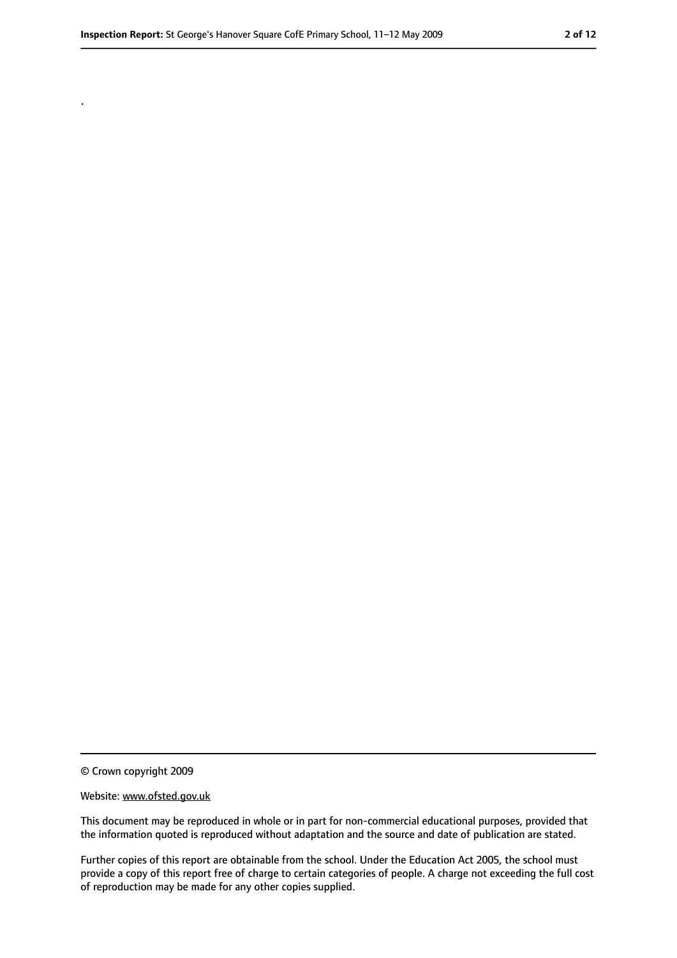.

<sup>©</sup> Crown copyright 2009

Website: www.ofsted.gov.uk

This document may be reproduced in whole or in part for non-commercial educational purposes, provided that the information quoted is reproduced without adaptation and the source and date of publication are stated.

Further copies of this report are obtainable from the school. Under the Education Act 2005, the school must provide a copy of this report free of charge to certain categories of people. A charge not exceeding the full cost of reproduction may be made for any other copies supplied.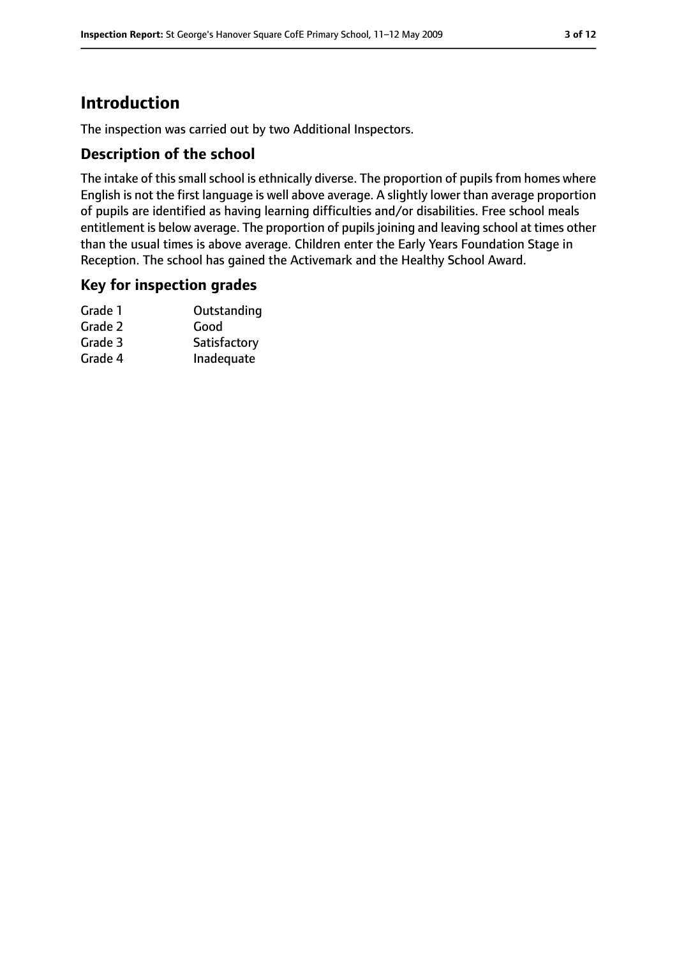# **Introduction**

The inspection was carried out by two Additional Inspectors.

#### **Description of the school**

The intake of this small school is ethnically diverse. The proportion of pupils from homes where English is not the first language is well above average. A slightly lower than average proportion of pupils are identified as having learning difficulties and/or disabilities. Free school meals entitlement is below average. The proportion of pupils joining and leaving school at times other than the usual times is above average. Children enter the Early Years Foundation Stage in Reception. The school has gained the Activemark and the Healthy School Award.

#### **Key for inspection grades**

| Grade 1 | Outstanding  |
|---------|--------------|
| Grade 2 | Good         |
| Grade 3 | Satisfactory |
| Grade 4 | Inadequate   |
|         |              |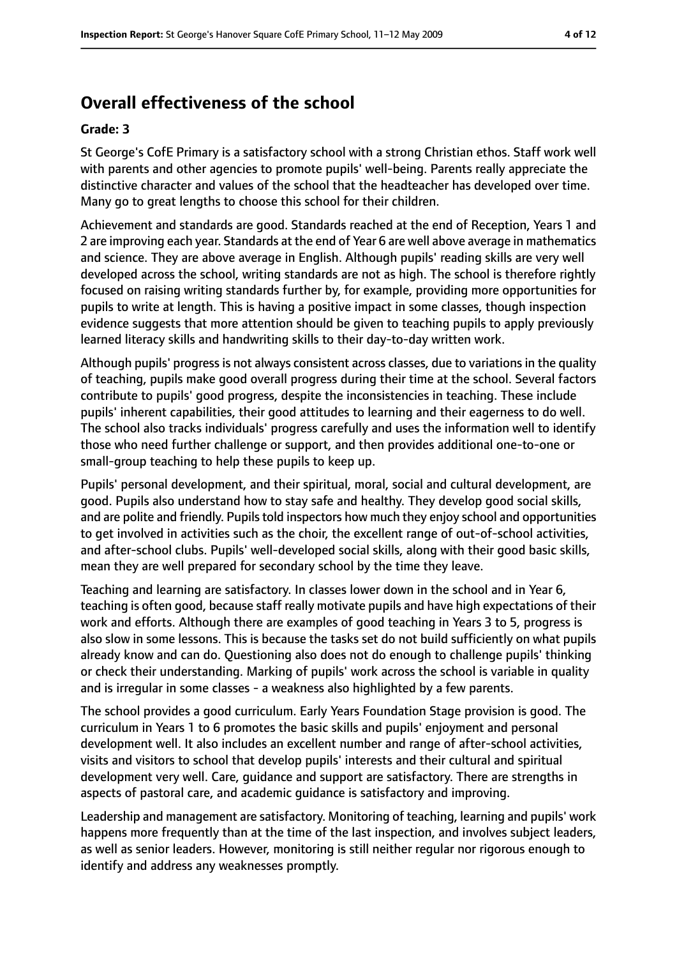# **Overall effectiveness of the school**

#### **Grade: 3**

St George's CofE Primary is a satisfactory school with a strong Christian ethos. Staff work well with parents and other agencies to promote pupils' well-being. Parents really appreciate the distinctive character and values of the school that the headteacher has developed over time. Many go to great lengths to choose this school for their children.

Achievement and standards are good. Standards reached at the end of Reception, Years 1 and 2 are improving each year. Standards at the end of Year 6 are well above average in mathematics and science. They are above average in English. Although pupils' reading skills are very well developed across the school, writing standards are not as high. The school is therefore rightly focused on raising writing standards further by, for example, providing more opportunities for pupils to write at length. This is having a positive impact in some classes, though inspection evidence suggests that more attention should be given to teaching pupils to apply previously learned literacy skills and handwriting skills to their day-to-day written work.

Although pupils' progress is not always consistent across classes, due to variations in the quality of teaching, pupils make good overall progress during their time at the school. Several factors contribute to pupils' good progress, despite the inconsistencies in teaching. These include pupils' inherent capabilities, their good attitudes to learning and their eagerness to do well. The school also tracks individuals' progress carefully and uses the information well to identify those who need further challenge or support, and then provides additional one-to-one or small-group teaching to help these pupils to keep up.

Pupils' personal development, and their spiritual, moral, social and cultural development, are good. Pupils also understand how to stay safe and healthy. They develop good social skills, and are polite and friendly. Pupils told inspectors how much they enjoy school and opportunities to get involved in activities such as the choir, the excellent range of out-of-school activities, and after-school clubs. Pupils' well-developed social skills, along with their good basic skills, mean they are well prepared for secondary school by the time they leave.

Teaching and learning are satisfactory. In classes lower down in the school and in Year 6, teaching is often good, because staff really motivate pupils and have high expectations of their work and efforts. Although there are examples of good teaching in Years 3 to 5, progress is also slow in some lessons. This is because the tasks set do not build sufficiently on what pupils already know and can do. Questioning also does not do enough to challenge pupils' thinking or check their understanding. Marking of pupils' work across the school is variable in quality and is irregular in some classes - a weakness also highlighted by a few parents.

The school provides a good curriculum. Early Years Foundation Stage provision is good. The curriculum in Years 1 to 6 promotes the basic skills and pupils' enjoyment and personal development well. It also includes an excellent number and range of after-school activities, visits and visitors to school that develop pupils' interests and their cultural and spiritual development very well. Care, guidance and support are satisfactory. There are strengths in aspects of pastoral care, and academic guidance is satisfactory and improving.

Leadership and management are satisfactory. Monitoring of teaching, learning and pupils' work happens more frequently than at the time of the last inspection, and involves subject leaders, as well as senior leaders. However, monitoring is still neither regular nor rigorous enough to identify and address any weaknesses promptly.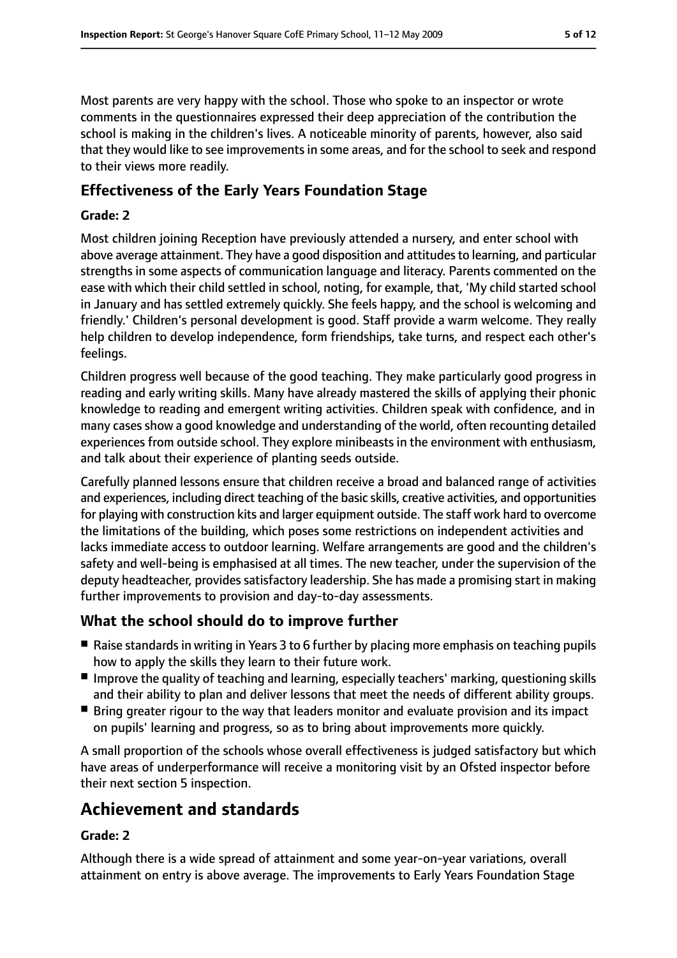Most parents are very happy with the school. Those who spoke to an inspector or wrote comments in the questionnaires expressed their deep appreciation of the contribution the school is making in the children's lives. A noticeable minority of parents, however, also said that they would like to see improvements in some areas, and for the school to seek and respond to their views more readily.

## **Effectiveness of the Early Years Foundation Stage**

#### **Grade: 2**

Most children joining Reception have previously attended a nursery, and enter school with above average attainment. They have a good disposition and attitudes to learning, and particular strengths in some aspects of communication language and literacy. Parents commented on the ease with which their child settled in school, noting, for example, that, 'My child started school in January and has settled extremely quickly. She feels happy, and the school is welcoming and friendly.' Children's personal development is good. Staff provide a warm welcome. They really help children to develop independence, form friendships, take turns, and respect each other's feelings.

Children progress well because of the good teaching. They make particularly good progress in reading and early writing skills. Many have already mastered the skills of applying their phonic knowledge to reading and emergent writing activities. Children speak with confidence, and in many cases show a good knowledge and understanding of the world, often recounting detailed experiences from outside school. They explore minibeasts in the environment with enthusiasm, and talk about their experience of planting seeds outside.

Carefully planned lessons ensure that children receive a broad and balanced range of activities and experiences, including direct teaching of the basic skills, creative activities, and opportunities for playing with construction kits and larger equipment outside. The staff work hard to overcome the limitations of the building, which poses some restrictions on independent activities and lacks immediate access to outdoor learning. Welfare arrangements are good and the children's safety and well-being is emphasised at all times. The new teacher, under the supervision of the deputy headteacher, provides satisfactory leadership. She has made a promising start in making further improvements to provision and day-to-day assessments.

#### **What the school should do to improve further**

- Raise standards in writing in Years 3 to 6 further by placing more emphasis on teaching pupils how to apply the skills they learn to their future work.
- Improve the quality of teaching and learning, especially teachers' marking, questioning skills and their ability to plan and deliver lessons that meet the needs of different ability groups.
- Bring greater rigour to the way that leaders monitor and evaluate provision and its impact on pupils' learning and progress, so as to bring about improvements more quickly.

A small proportion of the schools whose overall effectiveness is judged satisfactory but which have areas of underperformance will receive a monitoring visit by an Ofsted inspector before their next section 5 inspection.

# **Achievement and standards**

#### **Grade: 2**

Although there is a wide spread of attainment and some year-on-year variations, overall attainment on entry is above average. The improvements to Early Years Foundation Stage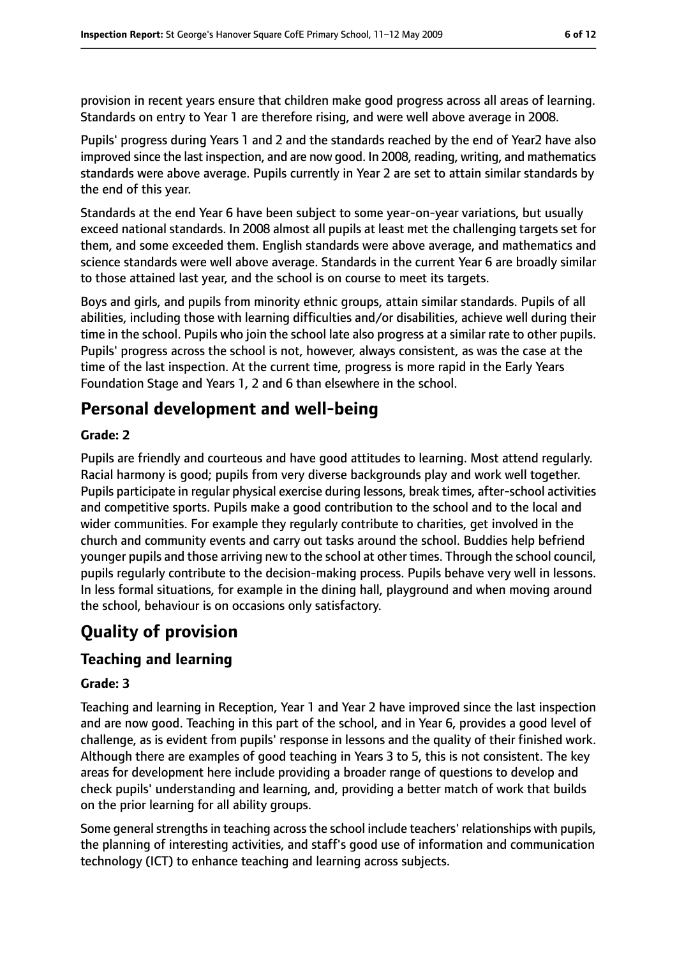provision in recent years ensure that children make good progress across all areas of learning. Standards on entry to Year 1 are therefore rising, and were well above average in 2008.

Pupils' progress during Years 1 and 2 and the standards reached by the end of Year2 have also improved since the last inspection, and are now good. In 2008, reading, writing, and mathematics standards were above average. Pupils currently in Year 2 are set to attain similar standards by the end of this year.

Standards at the end Year 6 have been subject to some year-on-year variations, but usually exceed national standards. In 2008 almost all pupils at least met the challenging targets set for them, and some exceeded them. English standards were above average, and mathematics and science standards were well above average. Standards in the current Year 6 are broadly similar to those attained last year, and the school is on course to meet its targets.

Boys and girls, and pupils from minority ethnic groups, attain similar standards. Pupils of all abilities, including those with learning difficulties and/or disabilities, achieve well during their time in the school. Pupils who join the school late also progress at a similar rate to other pupils. Pupils' progress across the school is not, however, always consistent, as was the case at the time of the last inspection. At the current time, progress is more rapid in the Early Years Foundation Stage and Years 1, 2 and 6 than elsewhere in the school.

# **Personal development and well-being**

#### **Grade: 2**

Pupils are friendly and courteous and have good attitudes to learning. Most attend regularly. Racial harmony is good; pupils from very diverse backgrounds play and work well together. Pupils participate in regular physical exercise during lessons, break times, after-school activities and competitive sports. Pupils make a good contribution to the school and to the local and wider communities. For example they regularly contribute to charities, get involved in the church and community events and carry out tasks around the school. Buddies help befriend younger pupils and those arriving new to the school at other times. Through the school council, pupils regularly contribute to the decision-making process. Pupils behave very well in lessons. In less formal situations, for example in the dining hall, playground and when moving around the school, behaviour is on occasions only satisfactory.

# **Quality of provision**

## **Teaching and learning**

#### **Grade: 3**

Teaching and learning in Reception, Year 1 and Year 2 have improved since the last inspection and are now good. Teaching in this part of the school, and in Year 6, provides a good level of challenge, as is evident from pupils' response in lessons and the quality of their finished work. Although there are examples of good teaching in Years 3 to 5, this is not consistent. The key areas for development here include providing a broader range of questions to develop and check pupils' understanding and learning, and, providing a better match of work that builds on the prior learning for all ability groups.

Some general strengths in teaching across the school include teachers' relationships with pupils, the planning of interesting activities, and staff's good use of information and communication technology (ICT) to enhance teaching and learning across subjects.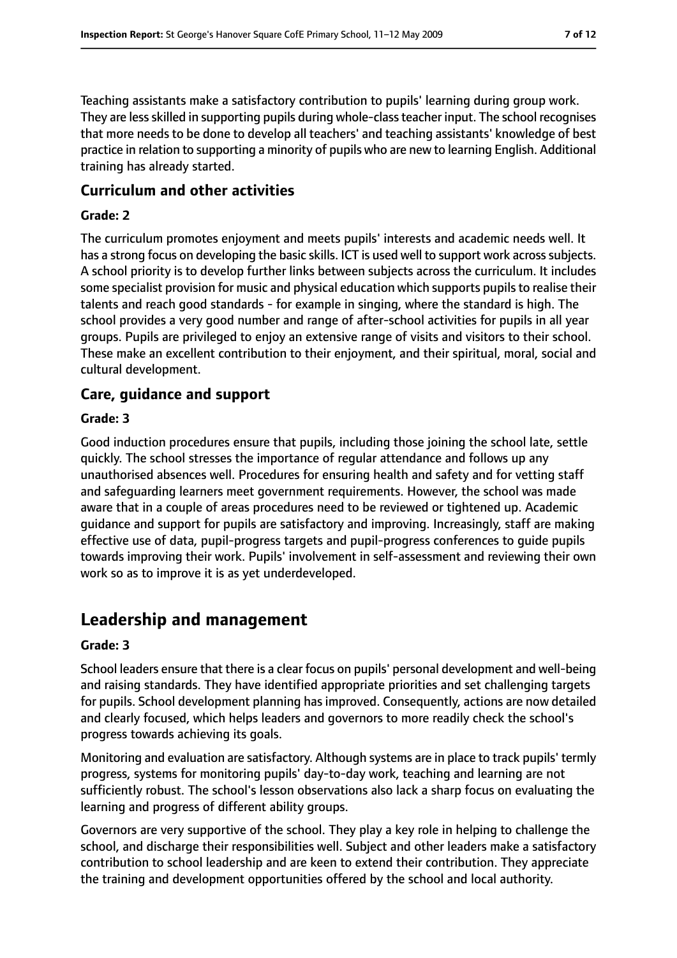Teaching assistants make a satisfactory contribution to pupils' learning during group work. They are less skilled in supporting pupils during whole-class teacher input. The school recognises that more needs to be done to develop all teachers' and teaching assistants' knowledge of best practice in relation to supporting a minority of pupils who are new to learning English. Additional training has already started.

#### **Curriculum and other activities**

#### **Grade: 2**

The curriculum promotes enjoyment and meets pupils' interests and academic needs well. It has a strong focus on developing the basic skills. ICT is used well to support work across subjects. A school priority is to develop further links between subjects across the curriculum. It includes some specialist provision for music and physical education which supports pupils to realise their talents and reach good standards - for example in singing, where the standard is high. The school provides a very good number and range of after-school activities for pupils in all year groups. Pupils are privileged to enjoy an extensive range of visits and visitors to their school. These make an excellent contribution to their enjoyment, and their spiritual, moral, social and cultural development.

#### **Care, guidance and support**

#### **Grade: 3**

Good induction procedures ensure that pupils, including those joining the school late, settle quickly. The school stresses the importance of regular attendance and follows up any unauthorised absences well. Procedures for ensuring health and safety and for vetting staff and safeguarding learners meet government requirements. However, the school was made aware that in a couple of areas procedures need to be reviewed or tightened up. Academic guidance and support for pupils are satisfactory and improving. Increasingly, staff are making effective use of data, pupil-progress targets and pupil-progress conferences to guide pupils towards improving their work. Pupils' involvement in self-assessment and reviewing their own work so as to improve it is as yet underdeveloped.

## **Leadership and management**

#### **Grade: 3**

School leaders ensure that there is a clear focus on pupils' personal development and well-being and raising standards. They have identified appropriate priorities and set challenging targets for pupils. School development planning has improved. Consequently, actions are now detailed and clearly focused, which helps leaders and governors to more readily check the school's progress towards achieving its goals.

Monitoring and evaluation are satisfactory. Although systems are in place to track pupils' termly progress, systems for monitoring pupils' day-to-day work, teaching and learning are not sufficiently robust. The school's lesson observations also lack a sharp focus on evaluating the learning and progress of different ability groups.

Governors are very supportive of the school. They play a key role in helping to challenge the school, and discharge their responsibilities well. Subject and other leaders make a satisfactory contribution to school leadership and are keen to extend their contribution. They appreciate the training and development opportunities offered by the school and local authority.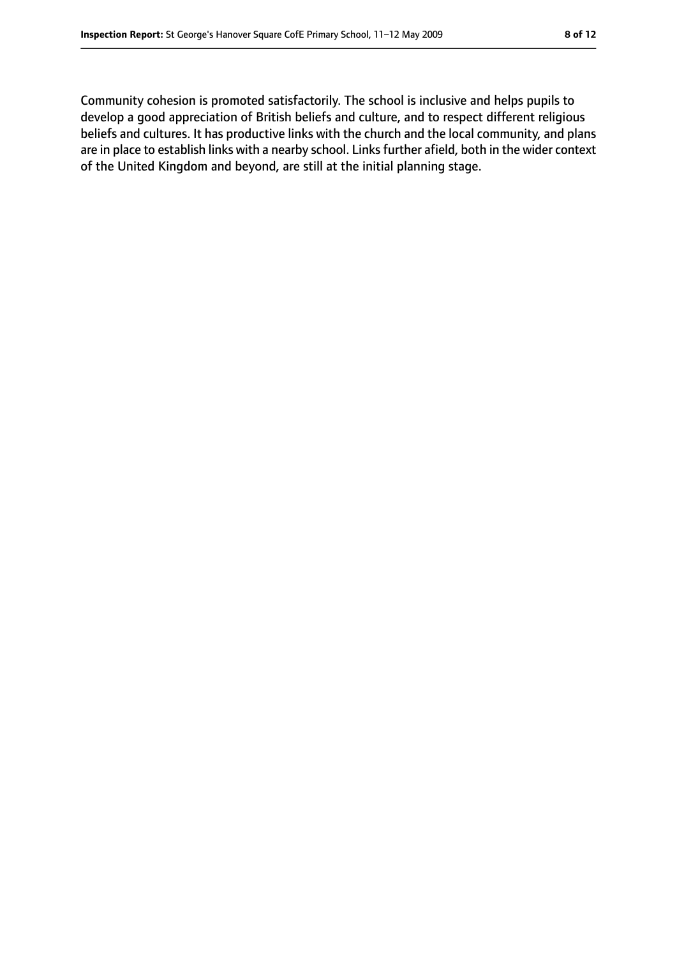Community cohesion is promoted satisfactorily. The school is inclusive and helps pupils to develop a good appreciation of British beliefs and culture, and to respect different religious beliefs and cultures. It has productive links with the church and the local community, and plans are in place to establish links with a nearby school. Links further afield, both in the wider context of the United Kingdom and beyond, are still at the initial planning stage.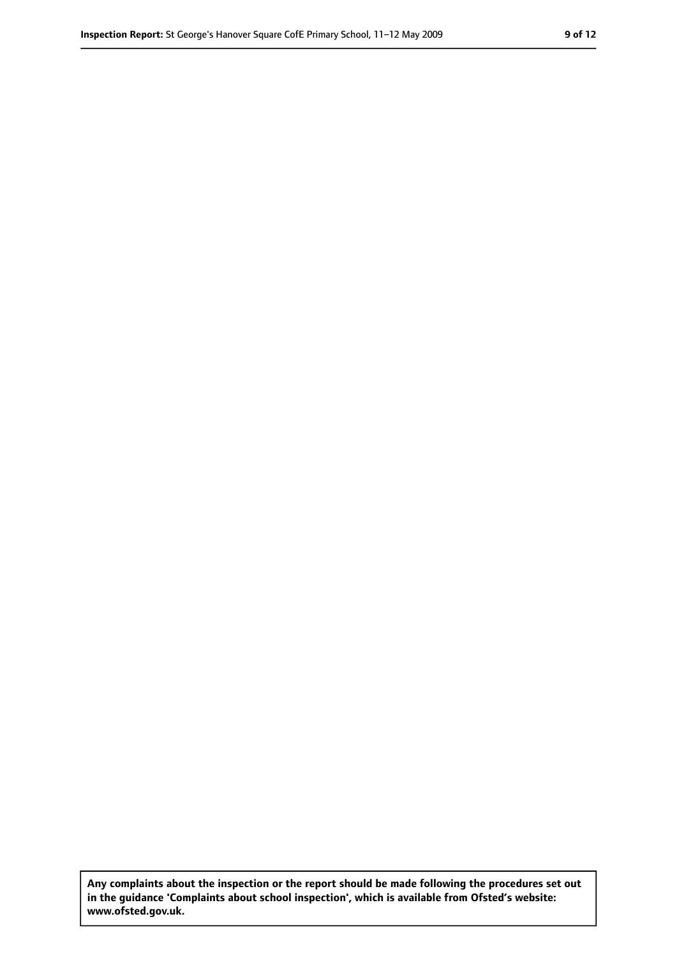**Any complaints about the inspection or the report should be made following the procedures set out in the guidance 'Complaints about school inspection', which is available from Ofsted's website: www.ofsted.gov.uk.**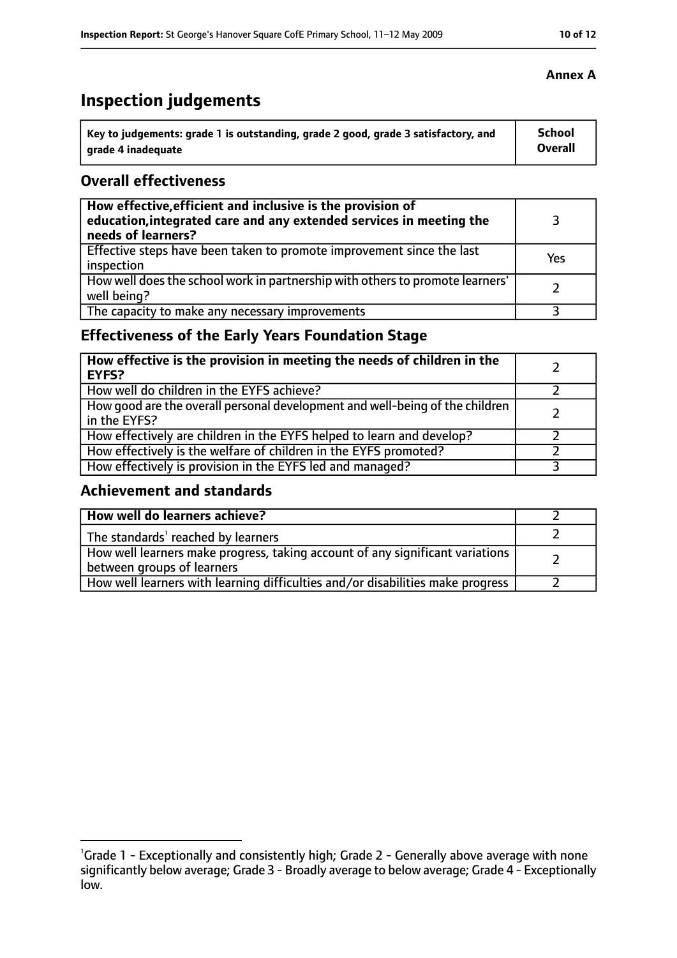# **Inspection judgements**

| Key to judgements: grade 1 is outstanding, grade 2 good, grade 3 satisfactory, and | <b>School</b>  |
|------------------------------------------------------------------------------------|----------------|
| arade 4 inadequate                                                                 | <b>Overall</b> |

#### **Overall effectiveness**

| How effective, efficient and inclusive is the provision of<br>education, integrated care and any extended services in meeting the<br>needs of learners? |     |
|---------------------------------------------------------------------------------------------------------------------------------------------------------|-----|
| Effective steps have been taken to promote improvement since the last<br>inspection                                                                     | Yes |
| How well does the school work in partnership with others to promote learners'<br>well being?                                                            |     |
| The capacity to make any necessary improvements                                                                                                         |     |

## **Effectiveness of the Early Years Foundation Stage**

| How effective is the provision in meeting the needs of children in the<br><b>EYFS?</b>       |  |
|----------------------------------------------------------------------------------------------|--|
| How well do children in the EYFS achieve?                                                    |  |
| How good are the overall personal development and well-being of the children<br>in the EYFS? |  |
| How effectively are children in the EYFS helped to learn and develop?                        |  |
| How effectively is the welfare of children in the EYFS promoted?                             |  |
| How effectively is provision in the EYFS led and managed?                                    |  |

## **Achievement and standards**

| How well do learners achieve?                                                                               |  |
|-------------------------------------------------------------------------------------------------------------|--|
| The standards <sup>1</sup> reached by learners                                                              |  |
| How well learners make progress, taking account of any significant variations<br>between groups of learners |  |
| How well learners with learning difficulties and/or disabilities make progress                              |  |

<sup>&</sup>lt;sup>1</sup>Grade 1 - Exceptionally and consistently high; Grade 2 - Generally above average with none significantly below average; Grade 3 - Broadly average to below average; Grade 4 - Exceptionally low.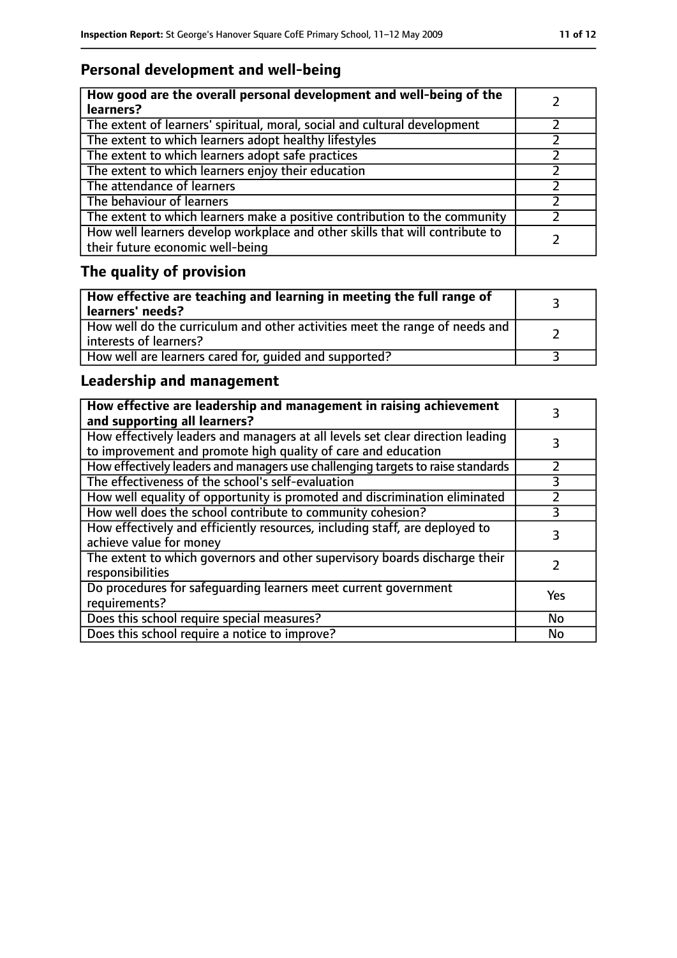# **Personal development and well-being**

| How good are the overall personal development and well-being of the<br>learners?                                 |  |
|------------------------------------------------------------------------------------------------------------------|--|
| The extent of learners' spiritual, moral, social and cultural development                                        |  |
| The extent to which learners adopt healthy lifestyles                                                            |  |
| The extent to which learners adopt safe practices                                                                |  |
| The extent to which learners enjoy their education                                                               |  |
| The attendance of learners                                                                                       |  |
| The behaviour of learners                                                                                        |  |
| The extent to which learners make a positive contribution to the community                                       |  |
| How well learners develop workplace and other skills that will contribute to<br>their future economic well-being |  |

# **The quality of provision**

| How effective are teaching and learning in meeting the full range of<br>learners' needs?                |  |
|---------------------------------------------------------------------------------------------------------|--|
| How well do the curriculum and other activities meet the range of needs and<br>  interests of learners? |  |
| How well are learners cared for, quided and supported?                                                  |  |

## **Leadership and management**

| How effective are leadership and management in raising achievement<br>and supporting all learners?                                              |           |
|-------------------------------------------------------------------------------------------------------------------------------------------------|-----------|
| How effectively leaders and managers at all levels set clear direction leading<br>to improvement and promote high quality of care and education |           |
| How effectively leaders and managers use challenging targets to raise standards                                                                 |           |
| The effectiveness of the school's self-evaluation                                                                                               | 3         |
| How well equality of opportunity is promoted and discrimination eliminated                                                                      |           |
| How well does the school contribute to community cohesion?                                                                                      | 3         |
| How effectively and efficiently resources, including staff, are deployed to<br>achieve value for money                                          | 3         |
| The extent to which governors and other supervisory boards discharge their<br>responsibilities                                                  |           |
| Do procedures for safequarding learners meet current government<br>requirements?                                                                | Yes       |
| Does this school require special measures?                                                                                                      | No        |
| Does this school require a notice to improve?                                                                                                   | <b>No</b> |